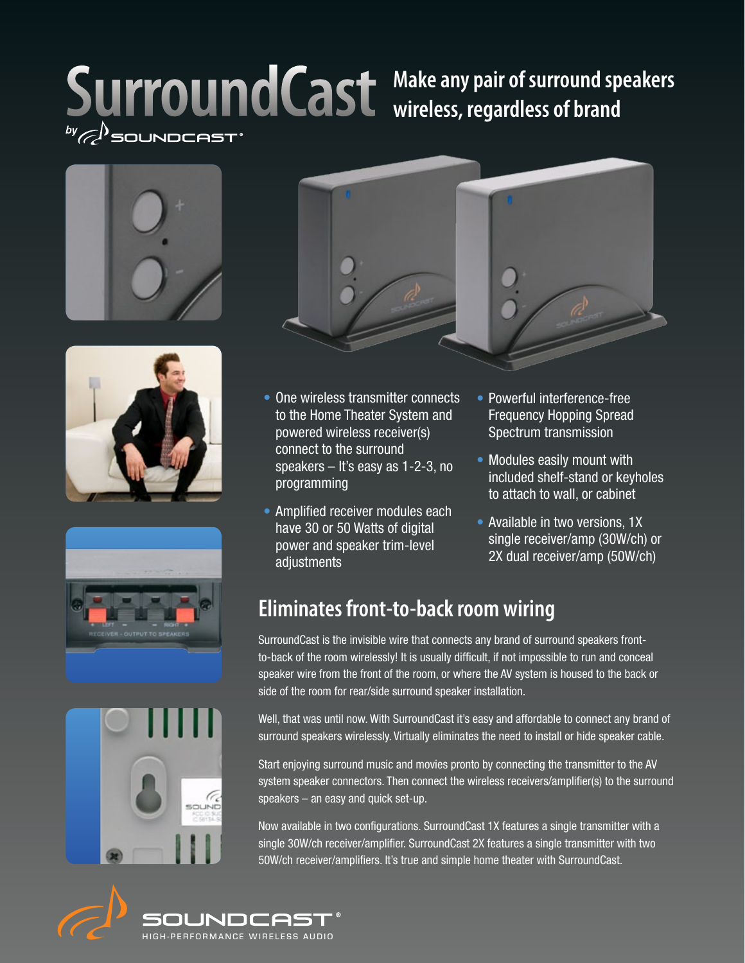# SurroundCast Make any pair of surround speakers











- One wireless transmitter connects to the Home Theater System and powered wireless receiver(s) connect to the surround speakers – It's easy as 1-2-3, no programming
- Amplified receiver modules each have 30 or 50 Watts of digital power and speaker trim-level adjustments
- Powerful interference-free Frequency Hopping Spread Spectrum transmission
- Modules easily mount with included shelf-stand or keyholes to attach to wall, or cabinet
- Available in two versions, 1X single receiver/amp (30W/ch) or 2X dual receiver/amp (50W/ch)

## **Eliminates front-to-back room wiring**

SurroundCast is the invisible wire that connects any brand of surround speakers frontto-back of the room wirelessly! It is usually difficult, if not impossible to run and conceal speaker wire from the front of the room, or where the AV system is housed to the back or side of the room for rear/side surround speaker installation.

Well, that was until now. With SurroundCast it's easy and affordable to connect any brand of surround speakers wirelessly. Virtually eliminates the need to install or hide speaker cable.

Start enjoying surround music and movies pronto by connecting the transmitter to the AV system speaker connectors. Then connect the wireless receivers/amplifier(s) to the surround speakers – an easy and quick set-up.

Now available in two configurations. SurroundCast 1X features a single transmitter with a single 30W/ch receiver/amplifier. SurroundCast 2X features a single transmitter with two 50W/ch receiver/amplifiers. It's true and simple home theater with SurroundCast.